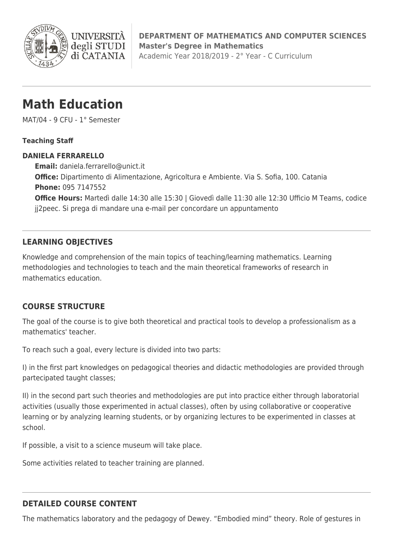

**DEPARTMENT OF MATHEMATICS AND COMPUTER SCIENCES Master's Degree in Mathematics** Academic Year 2018/2019 - 2° Year - C Curriculum

# **Math Education**

**I INIVERS** 

degli STUDI di CATANIA

MAT/04 - 9 CFU - 1° Semester

#### **Teaching Staff**

#### **DANIELA FERRARELLO**

**Email:** [daniela.ferrarello@unict.it](mailto:daniela.ferrarello@unict.it) **Office:** Dipartimento di Alimentazione, Agricoltura e Ambiente. Via S. Sofia, 100. Catania **Phone:** 095 7147552 **Office Hours:** Martedì dalle 14:30 alle 15:30 | Giovedì dalle 11:30 alle 12:30 Ufficio M Teams, codice jj2peec. Si prega di mandare una e-mail per concordare un appuntamento

## **LEARNING OBJECTIVES**

Knowledge and comprehension of the main topics of teaching/learning mathematics. Learning methodologies and technologies to teach and the main theoretical frameworks of research in mathematics education.

## **COURSE STRUCTURE**

The goal of the course is to give both theoretical and practical tools to develop a professionalism as a mathematics' teacher.

To reach such a goal, every lecture is divided into two parts:

I) in the first part knowledges on pedagogical theories and didactic methodologies are provided through partecipated taught classes;

II) in the second part such theories and methodologies are put into practice either through laboratorial activities (usually those experimented in actual classes), often by using collaborative or cooperative learning or by analyzing learning students, or by organizing lectures to be experimented in classes at school.

If possible, a visit to a science museum will take place.

Some activities related to teacher training are planned.

## **DETAILED COURSE CONTENT**

The mathematics laboratory and the pedagogy of Dewey. "Embodied mind" theory. Role of gestures in